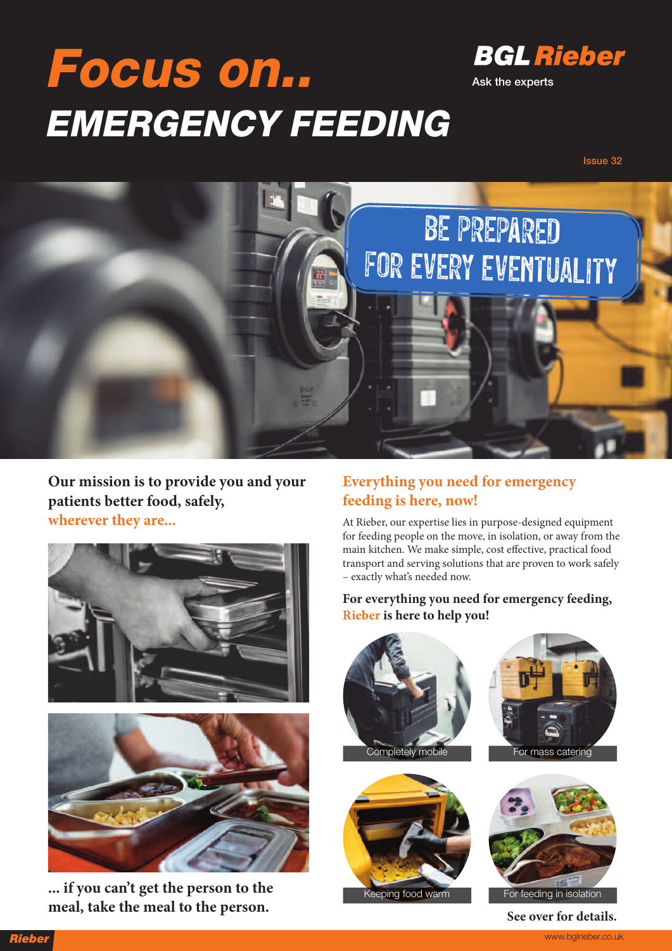# **Focus on.. EMERGENCY FEEDING**



**Ask the experts**

**Issue 32**



**Our mission is to provide you and your patients better food, safely, wherever they are...**



**... if you can't get the person to the meal, take the meal to the person.**

#### **Everything you need for emergency feeding is here, now!**

At Rieber, our expertise lies in purpose-designed equipment for feeding people on the move, in isolation, or away from the main kitchen. We make simple, cost effective, practical food transport and serving solutions that are proven to work safely – exactly what's needed now.

**For everything you need for emergency feeding, Rieber is here to help you!**



**See over for details.**